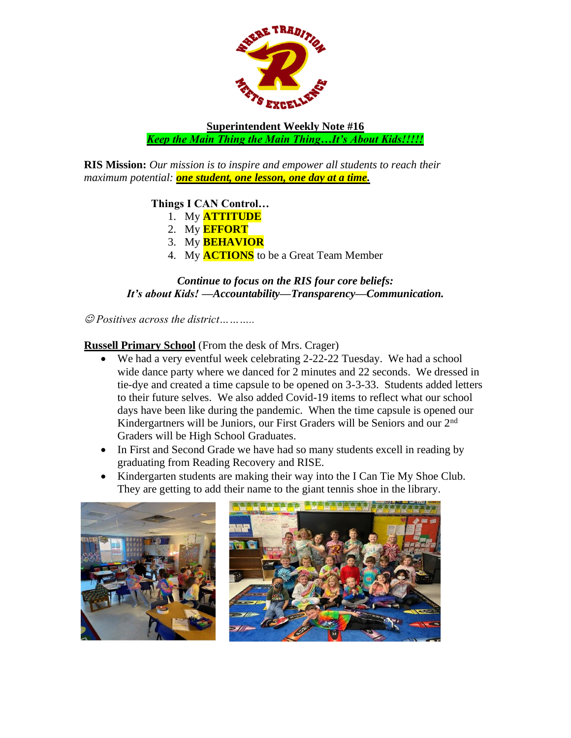

**Superintendent Weekly Note #16** *Keep the Main Thing the Main Thing…It's About Kids!!!!!*

**RIS Mission:** *Our mission is to inspire and empower all students to reach their maximum potential: one student, one lesson, one day at a time.*

## **Things I CAN Control…**

- 1. My **ATTITUDE**
- 2. My **EFFORT**
- 3. My **BEHAVIOR**
- 4. My **ACTIONS** to be a Great Team Member

## *Continue to focus on the RIS four core beliefs: It's about Kids! —Accountability—Transparency—Communication.*

☺ *Positives across the district………..*

## **Russell Primary School** (From the desk of Mrs. Crager)

- We had a very eventful week celebrating 2-22-22 Tuesday. We had a school wide dance party where we danced for 2 minutes and 22 seconds. We dressed in tie-dye and created a time capsule to be opened on 3-3-33. Students added letters to their future selves. We also added Covid-19 items to reflect what our school days have been like during the pandemic. When the time capsule is opened our Kindergartners will be Juniors, our First Graders will be Seniors and our 2nd Graders will be High School Graduates.
- In First and Second Grade we have had so many students excell in reading by graduating from Reading Recovery and RISE.
- Kindergarten students are making their way into the I Can Tie My Shoe Club. They are getting to add their name to the giant tennis shoe in the library.

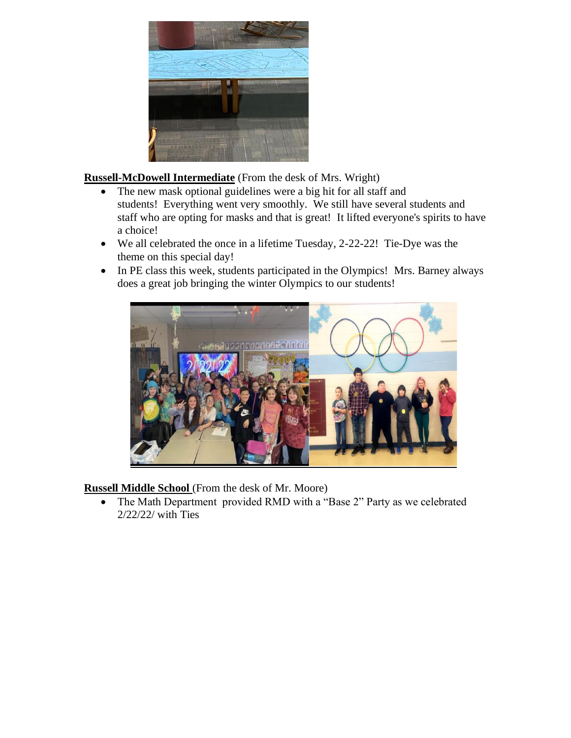

**Russell-McDowell Intermediate** (From the desk of Mrs. Wright)

- The new mask optional guidelines were a big hit for all staff and students! Everything went very smoothly. We still have several students and staff who are opting for masks and that is great! It lifted everyone's spirits to have a choice!
- We all celebrated the once in a lifetime Tuesday, 2-22-22! Tie-Dye was the theme on this special day!
- In PE class this week, students participated in the Olympics! Mrs. Barney always does a great job bringing the winter Olympics to our students!



**Russell Middle School** (From the desk of Mr. Moore)

• The Math Department provided RMD with a "Base 2" Party as we celebrated 2/22/22/ with Ties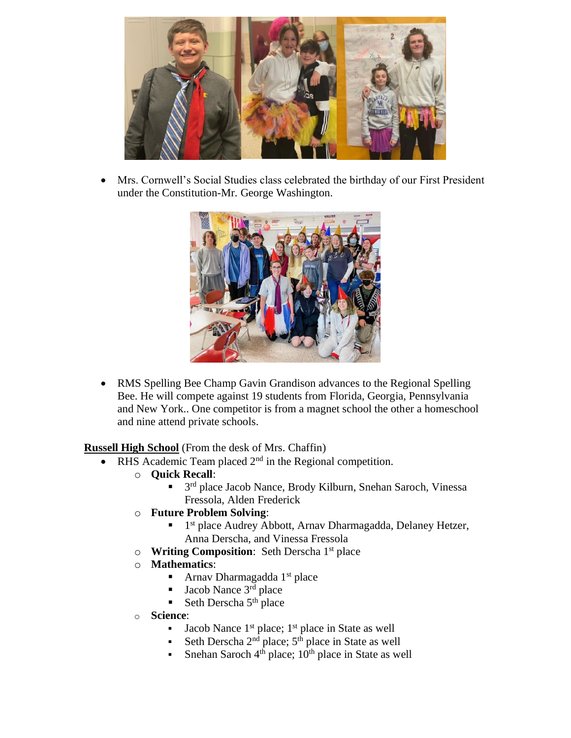

• Mrs. Cornwell's Social Studies class celebrated the birthday of our First President under the Constitution-Mr. George Washington.



• RMS Spelling Bee Champ Gavin Grandison advances to the Regional Spelling Bee. He will compete against 19 students from Florida, Georgia, Pennsylvania and New York.. One competitor is from a magnet school the other a homeschool and nine attend private schools.

**Russell High School** (From the desk of Mrs. Chaffin)

- RHS Academic Team placed  $2<sup>nd</sup>$  in the Regional competition.
	- o **Quick Recall**:
		- 3<sup>rd</sup> place Jacob Nance, Brody Kilburn, Snehan Saroch, Vinessa Fressola, Alden Frederick
	- o **Future Problem Solving**:
		- **■** 1<sup>st</sup> place Audrey Abbott, Arnav Dharmagadda, Delaney Hetzer, Anna Derscha, and Vinessa Fressola
	- o **Writing Composition**: Seth Derscha 1st place
	- o **Mathematics**:
		- **•** Arnav Dharmagadda  $1<sup>st</sup>$  place
		- Jacob Nance 3<sup>rd</sup> place
		- **•** Seth Derscha  $5<sup>th</sup>$  place
	- o **Science**:
		- Jacob Nance 1<sup>st</sup> place; 1<sup>st</sup> place in State as well
		- Seth Derscha  $2<sup>nd</sup>$  place;  $5<sup>th</sup>$  place in State as well
		- Snehan Saroch  $4<sup>th</sup>$  place;  $10<sup>th</sup>$  place in State as well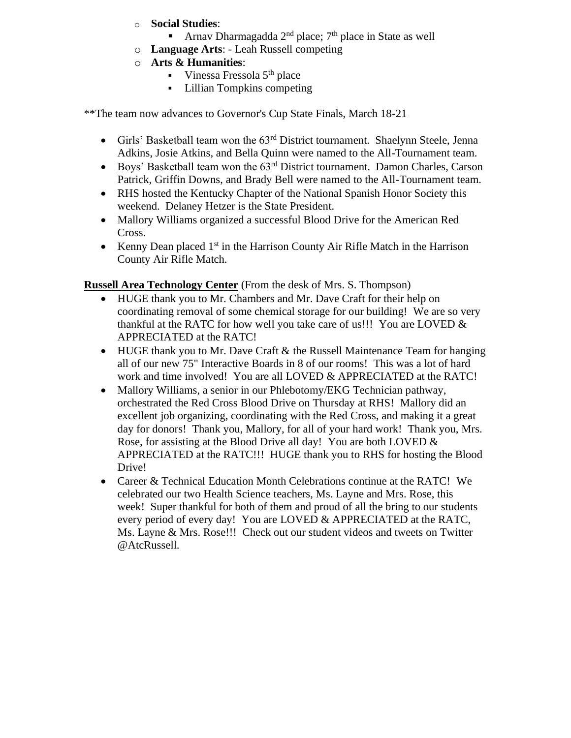- o **Social Studies**:
	- **•** Arnav Dharmagadda  $2<sup>nd</sup>$  place;  $7<sup>th</sup>$  place in State as well
- o **Language Arts**: Leah Russell competing
- o **Arts & Humanities**:
	- $\blacksquare$  Vinessa Fressola 5<sup>th</sup> place
	- Lillian Tompkins competing

\*\*The team now advances to Governor's Cup State Finals, March 18-21

- Girls' Basketball team won the 63rd District tournament. Shaelynn Steele, Jenna Adkins, Josie Atkins, and Bella Quinn were named to the All-Tournament team.
- Boys' Basketball team won the 63<sup>rd</sup> District tournament. Damon Charles, Carson Patrick, Griffin Downs, and Brady Bell were named to the All-Tournament team.
- RHS hosted the Kentucky Chapter of the National Spanish Honor Society this weekend. Delaney Hetzer is the State President.
- Mallory Williams organized a successful Blood Drive for the American Red Cross.
- Kenny Dean placed  $1<sup>st</sup>$  in the Harrison County Air Rifle Match in the Harrison County Air Rifle Match.

**Russell Area Technology Center** (From the desk of Mrs. S. Thompson)

- HUGE thank you to Mr. Chambers and Mr. Dave Craft for their help on coordinating removal of some chemical storage for our building! We are so very thankful at the RATC for how well you take care of us!!! You are LOVED  $\&$ APPRECIATED at the RATC!
- HUGE thank you to Mr. Dave Craft & the Russell Maintenance Team for hanging all of our new 75" Interactive Boards in 8 of our rooms! This was a lot of hard work and time involved! You are all LOVED & APPRECIATED at the RATC!
- Mallory Williams, a senior in our Phlebotomy/EKG Technician pathway, orchestrated the Red Cross Blood Drive on Thursday at RHS! Mallory did an excellent job organizing, coordinating with the Red Cross, and making it a great day for donors! Thank you, Mallory, for all of your hard work! Thank you, Mrs. Rose, for assisting at the Blood Drive all day! You are both LOVED  $\&$ APPRECIATED at the RATC!!! HUGE thank you to RHS for hosting the Blood Drive!
- Career & Technical Education Month Celebrations continue at the RATC! We celebrated our two Health Science teachers, Ms. Layne and Mrs. Rose, this week! Super thankful for both of them and proud of all the bring to our students every period of every day! You are LOVED & APPRECIATED at the RATC, Ms. Layne & Mrs. Rose!!! Check out our student videos and tweets on Twitter @AtcRussell.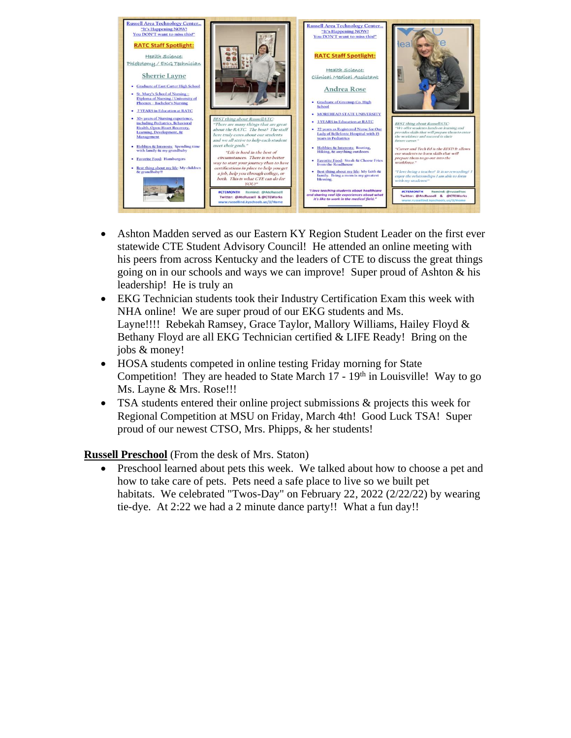

- Ashton Madden served as our Eastern KY Region Student Leader on the first ever statewide CTE Student Advisory Council! He attended an online meeting with his peers from across Kentucky and the leaders of CTE to discuss the great things going on in our schools and ways we can improve! Super proud of Ashton & his leadership! He is truly an
- EKG Technician students took their Industry Certification Exam this week with NHA online! We are super proud of our EKG students and Ms. Layne!!!! Rebekah Ramsey, Grace Taylor, Mallory Williams, Hailey Floyd & Bethany Floyd are all EKG Technician certified & LIFE Ready! Bring on the jobs & money!
- HOSA students competed in online testing Friday morning for State Competition! They are headed to State March  $17 - 19<sup>th</sup>$  in Louisville! Way to go Ms. Layne & Mrs. Rose!!!
- TSA students entered their online project submissions & projects this week for Regional Competition at MSU on Friday, March 4th! Good Luck TSA! Super proud of our newest CTSO, Mrs. Phipps, & her students!

**Russell Preschool** (From the desk of Mrs. Staton)

• Preschool learned about pets this week. We talked about how to choose a pet and how to take care of pets. Pets need a safe place to live so we built pet habitats. We celebrated "Twos-Day" on February 22, 2022 (2/22/22) by wearing tie-dye. At 2:22 we had a 2 minute dance party!! What a fun day!!